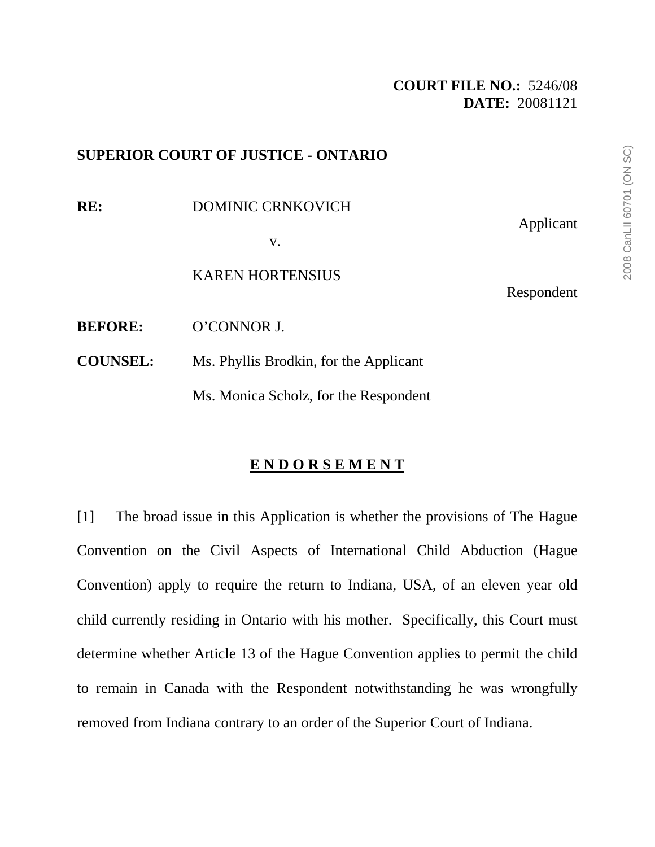### **SUPERIOR COURT OF JUSTICE - ONTARIO**

**RE:** DOMINIC CRNKOVICH Applicant v. KAREN HORTENSIUS Respondent **BEFORE:** O'CONNOR J. **COUNSEL:** Ms. Phyllis Brodkin, for the Applicant Ms. Monica Scholz, for the Respondent

### **E N D O R S E M E N T**

[1] The broad issue in this Application is whether the provisions of The Hague Convention on the Civil Aspects of International Child Abduction (Hague Convention) apply to require the return to Indiana, USA, of an eleven year old child currently residing in Ontario with his mother. Specifically, this Court must determine whether Article 13 of the Hague Convention applies to permit the child to remain in Canada with the Respondent notwithstanding he was wrongfully removed from Indiana contrary to an order of the Superior Court of Indiana.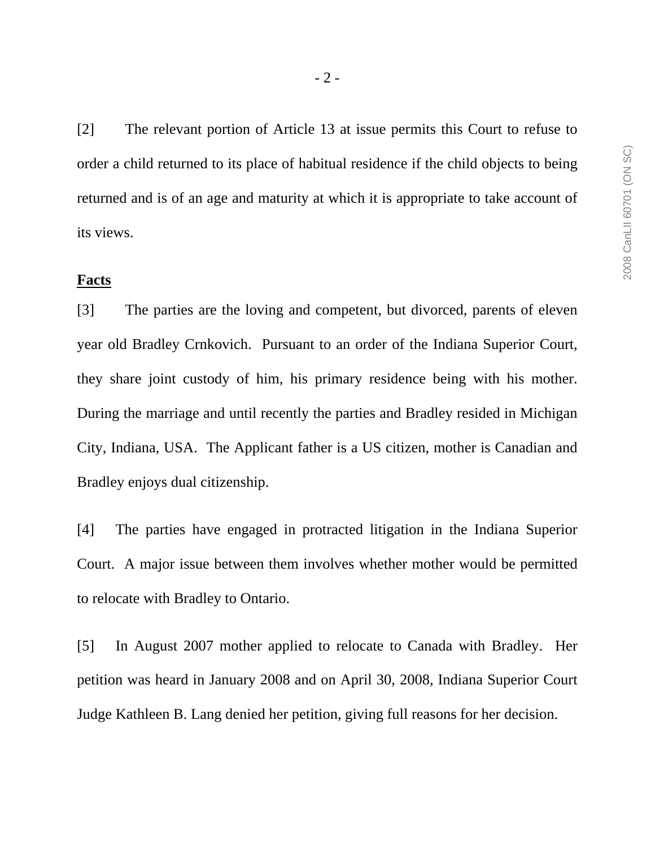[2] The relevant portion of Article 13 at issue permits this Court to refuse to order a child returned to its place of habitual residence if the child objects to being returned and is of an age and maturity at which it is appropriate to take account of its views.

#### **Facts**

[3] The parties are the loving and competent, but divorced, parents of eleven year old Bradley Crnkovich. Pursuant to an order of the Indiana Superior Court, they share joint custody of him, his primary residence being with his mother. During the marriage and until recently the parties and Bradley resided in Michigan City, Indiana, USA. The Applicant father is a US citizen, mother is Canadian and Bradley enjoys dual citizenship.

[4] The parties have engaged in protracted litigation in the Indiana Superior Court. A major issue between them involves whether mother would be permitted to relocate with Bradley to Ontario.

[5] In August 2007 mother applied to relocate to Canada with Bradley. Her petition was heard in January 2008 and on April 30, 2008, Indiana Superior Court Judge Kathleen B. Lang denied her petition, giving full reasons for her decision.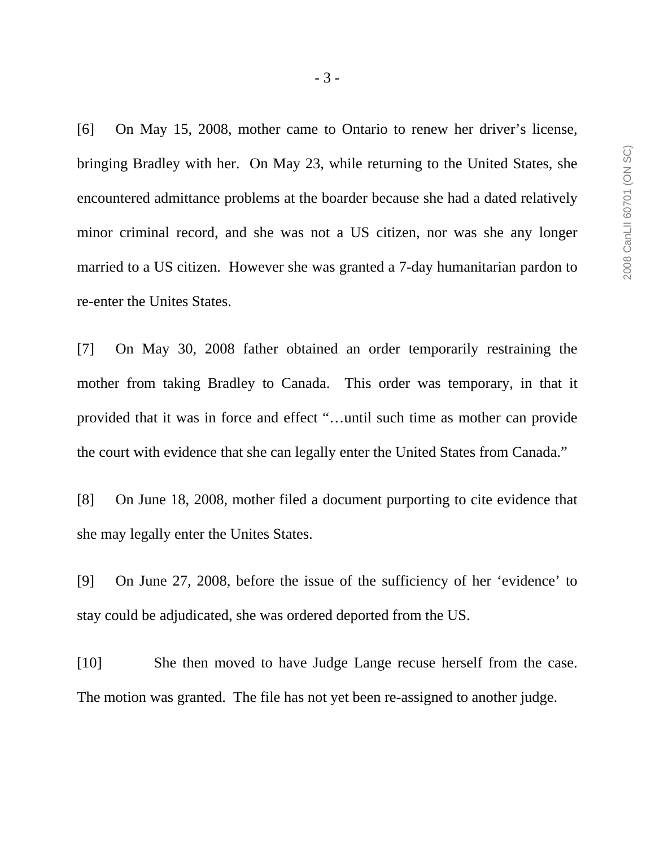[6] On May 15, 2008, mother came to Ontario to renew her driver's license, bringing Bradley with her. On May 23, while returning to the United States, she encountered admittance problems at the boarder because she had a dated relatively minor criminal record, and she was not a US citizen, nor was she any longer married to a US citizen. However she was granted a 7-day humanitarian pardon to re-enter the Unites States.

[7] On May 30, 2008 father obtained an order temporarily restraining the mother from taking Bradley to Canada. This order was temporary, in that it provided that it was in force and effect "…until such time as mother can provide the court with evidence that she can legally enter the United States from Canada."

[8] On June 18, 2008, mother filed a document purporting to cite evidence that she may legally enter the Unites States.

[9] On June 27, 2008, before the issue of the sufficiency of her 'evidence' to stay could be adjudicated, she was ordered deported from the US.

[10] She then moved to have Judge Lange recuse herself from the case. The motion was granted. The file has not yet been re-assigned to another judge.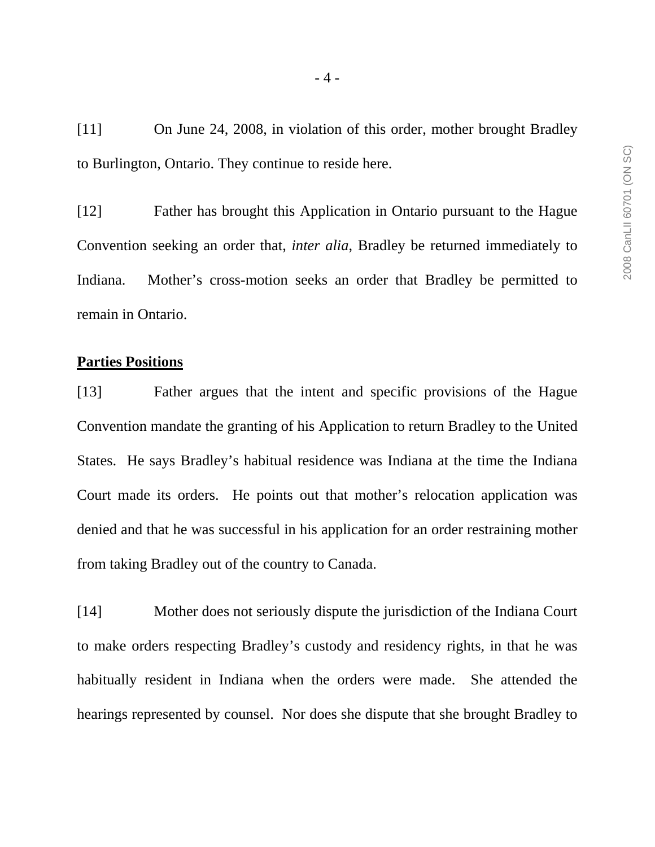[11] On June 24, 2008, in violation of this order, mother brought Bradley to Burlington, Ontario. They continue to reside here.

[12] Father has brought this Application in Ontario pursuant to the Hague Convention seeking an order that, *inter alia*, Bradley be returned immediately to Indiana. Mother's cross-motion seeks an order that Bradley be permitted to remain in Ontario.

### **Parties Positions**

[13] Father argues that the intent and specific provisions of the Hague Convention mandate the granting of his Application to return Bradley to the United States. He says Bradley's habitual residence was Indiana at the time the Indiana Court made its orders. He points out that mother's relocation application was denied and that he was successful in his application for an order restraining mother from taking Bradley out of the country to Canada.

[14] Mother does not seriously dispute the jurisdiction of the Indiana Court to make orders respecting Bradley's custody and residency rights, in that he was habitually resident in Indiana when the orders were made. She attended the hearings represented by counsel. Nor does she dispute that she brought Bradley to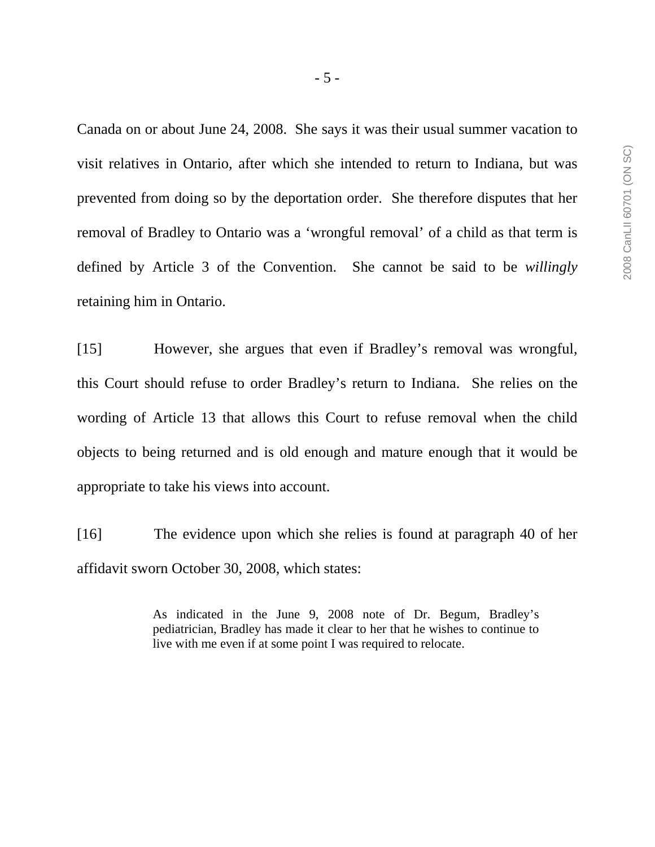Canada on or about June 24, 2008. She says it was their usual summer vacation to visit relatives in Ontario, after which she intended to return to Indiana, but was prevented from doing so by the deportation order. She therefore disputes that her removal of Bradley to Ontario was a 'wrongful removal' of a child as that term is defined by Article 3 of the Convention. She cannot be said to be *willingly* retaining him in Ontario.

[15] However, she argues that even if Bradley's removal was wrongful, this Court should refuse to order Bradley's return to Indiana. She relies on the wording of Article 13 that allows this Court to refuse removal when the child objects to being returned and is old enough and mature enough that it would be appropriate to take his views into account.

[16] The evidence upon which she relies is found at paragraph 40 of her affidavit sworn October 30, 2008, which states:

> As indicated in the June 9, 2008 note of Dr. Begum, Bradley's pediatrician, Bradley has made it clear to her that he wishes to continue to live with me even if at some point I was required to relocate.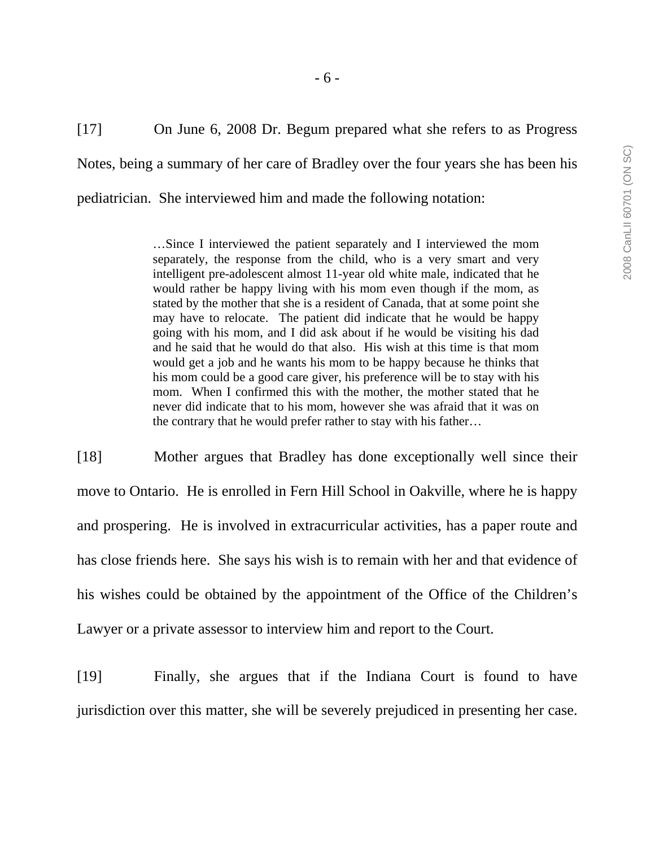[17] On June 6, 2008 Dr. Begum prepared what she refers to as Progress Notes, being a summary of her care of Bradley over the four years she has been his pediatrician. She interviewed him and made the following notation:

> …Since I interviewed the patient separately and I interviewed the mom separately, the response from the child, who is a very smart and very intelligent pre-adolescent almost 11-year old white male, indicated that he would rather be happy living with his mom even though if the mom, as stated by the mother that she is a resident of Canada, that at some point she may have to relocate. The patient did indicate that he would be happy going with his mom, and I did ask about if he would be visiting his dad and he said that he would do that also. His wish at this time is that mom would get a job and he wants his mom to be happy because he thinks that his mom could be a good care giver, his preference will be to stay with his mom. When I confirmed this with the mother, the mother stated that he never did indicate that to his mom, however she was afraid that it was on the contrary that he would prefer rather to stay with his father…

[18] Mother argues that Bradley has done exceptionally well since their move to Ontario. He is enrolled in Fern Hill School in Oakville, where he is happy and prospering. He is involved in extracurricular activities, has a paper route and has close friends here. She says his wish is to remain with her and that evidence of his wishes could be obtained by the appointment of the Office of the Children's Lawyer or a private assessor to interview him and report to the Court.

[19] Finally, she argues that if the Indiana Court is found to have jurisdiction over this matter, she will be severely prejudiced in presenting her case.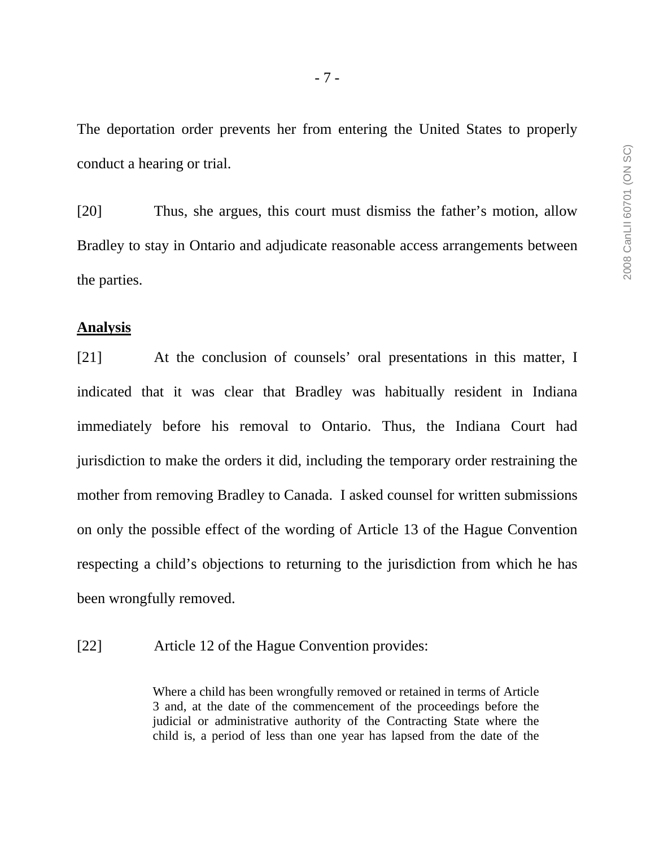The deportation order prevents her from entering the United States to properly conduct a hearing or trial.

[20] Thus, she argues, this court must dismiss the father's motion, allow Bradley to stay in Ontario and adjudicate reasonable access arrangements between the parties.

#### **Analysis**

[21] At the conclusion of counsels' oral presentations in this matter, I indicated that it was clear that Bradley was habitually resident in Indiana immediately before his removal to Ontario. Thus, the Indiana Court had jurisdiction to make the orders it did, including the temporary order restraining the mother from removing Bradley to Canada. I asked counsel for written submissions on only the possible effect of the wording of Article 13 of the Hague Convention respecting a child's objections to returning to the jurisdiction from which he has been wrongfully removed.

[22] Article 12 of the Hague Convention provides:

Where a child has been wrongfully removed or retained in terms of Article 3 and, at the date of the commencement of the proceedings before the judicial or administrative authority of the Contracting State where the child is, a period of less than one year has lapsed from the date of the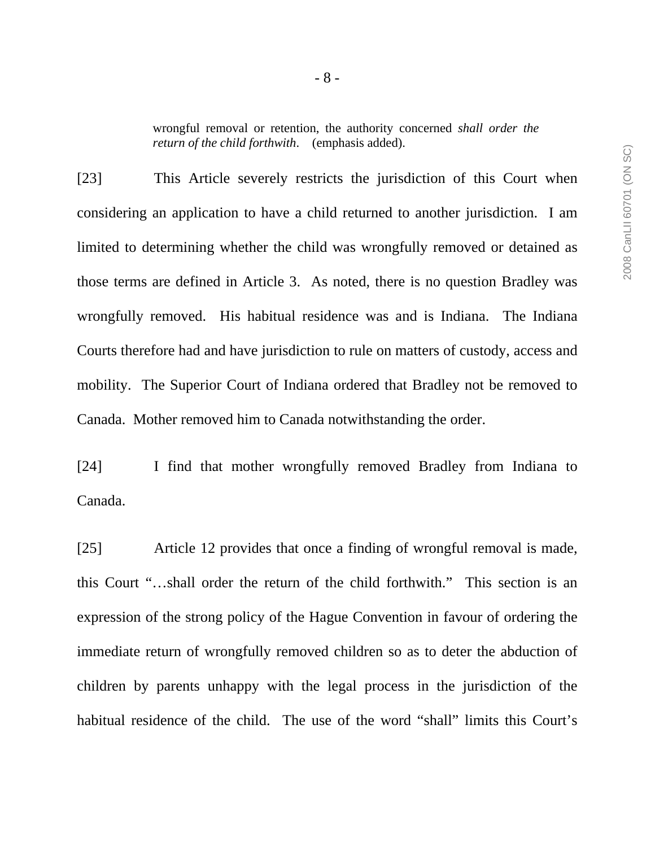wrongful removal or retention, the authority concerned *shall order the return of the child forthwith*. (emphasis added).

[23] This Article severely restricts the jurisdiction of this Court when considering an application to have a child returned to another jurisdiction. I am limited to determining whether the child was wrongfully removed or detained as those terms are defined in Article 3. As noted, there is no question Bradley was wrongfully removed. His habitual residence was and is Indiana. The Indiana Courts therefore had and have jurisdiction to rule on matters of custody, access and mobility. The Superior Court of Indiana ordered that Bradley not be removed to Canada. Mother removed him to Canada notwithstanding the order.

[24] I find that mother wrongfully removed Bradley from Indiana to Canada.

[25] Article 12 provides that once a finding of wrongful removal is made, this Court "…shall order the return of the child forthwith." This section is an expression of the strong policy of the Hague Convention in favour of ordering the immediate return of wrongfully removed children so as to deter the abduction of children by parents unhappy with the legal process in the jurisdiction of the habitual residence of the child. The use of the word "shall" limits this Court's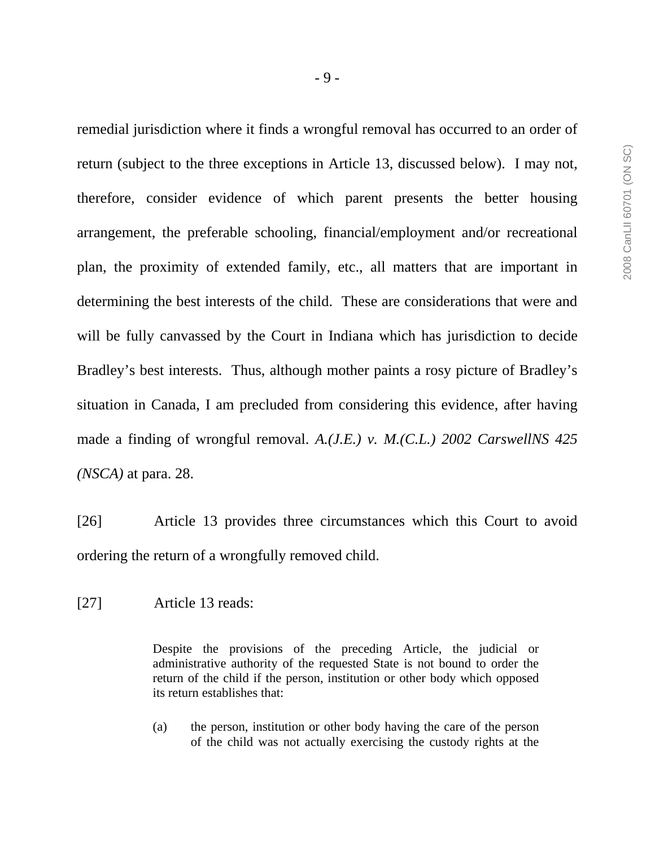remedial jurisdiction where it finds a wrongful removal has occurred to an order of return (subject to the three exceptions in Article 13, discussed below). I may not, therefore, consider evidence of which parent presents the better housing arrangement, the preferable schooling, financial/employment and/or recreational plan, the proximity of extended family, etc., all matters that are important in determining the best interests of the child. These are considerations that were and will be fully canvassed by the Court in Indiana which has jurisdiction to decide Bradley's best interests. Thus, although mother paints a rosy picture of Bradley's situation in Canada, I am precluded from considering this evidence, after having made a finding of wrongful removal. *A.(J.E.) v. M.(C.L.) 2002 CarswellNS 425 (NSCA)* at para. 28.

[26] Article 13 provides three circumstances which this Court to avoid ordering the return of a wrongfully removed child.

[27] Article 13 reads:

Despite the provisions of the preceding Article, the judicial or administrative authority of the requested State is not bound to order the return of the child if the person, institution or other body which opposed its return establishes that:

(a) the person, institution or other body having the care of the person of the child was not actually exercising the custody rights at the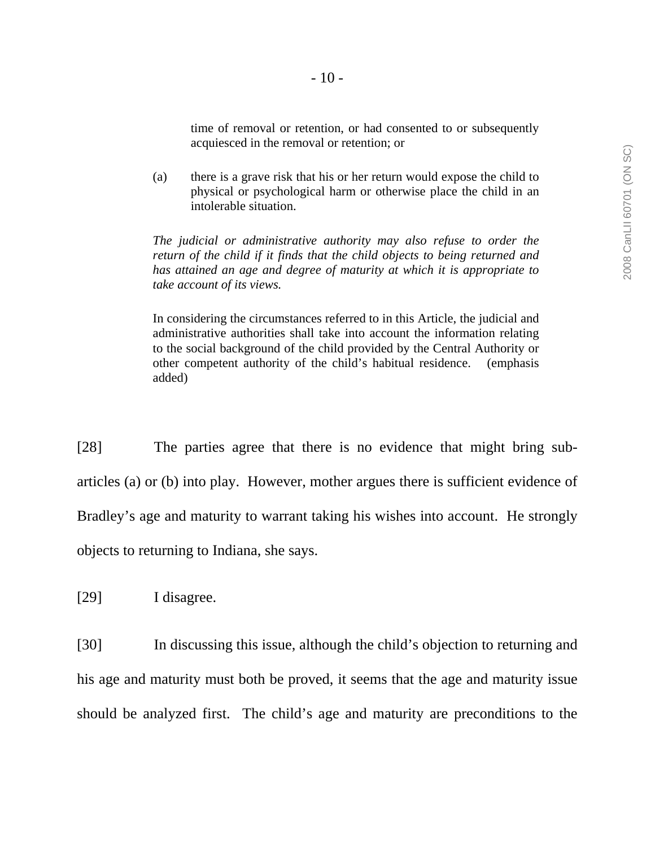time of removal or retention, or had consented to or subsequently acquiesced in the removal or retention; or

(a) there is a grave risk that his or her return would expose the child to physical or psychological harm or otherwise place the child in an intolerable situation.

*The judicial or administrative authority may also refuse to order the return of the child if it finds that the child objects to being returned and has attained an age and degree of maturity at which it is appropriate to take account of its views.* 

In considering the circumstances referred to in this Article, the judicial and administrative authorities shall take into account the information relating to the social background of the child provided by the Central Authority or other competent authority of the child's habitual residence. (emphasis added)

[28] The parties agree that there is no evidence that might bring subarticles (a) or (b) into play. However, mother argues there is sufficient evidence of Bradley's age and maturity to warrant taking his wishes into account. He strongly objects to returning to Indiana, she says.

[29] I disagree.

[30] In discussing this issue, although the child's objection to returning and his age and maturity must both be proved, it seems that the age and maturity issue should be analyzed first. The child's age and maturity are preconditions to the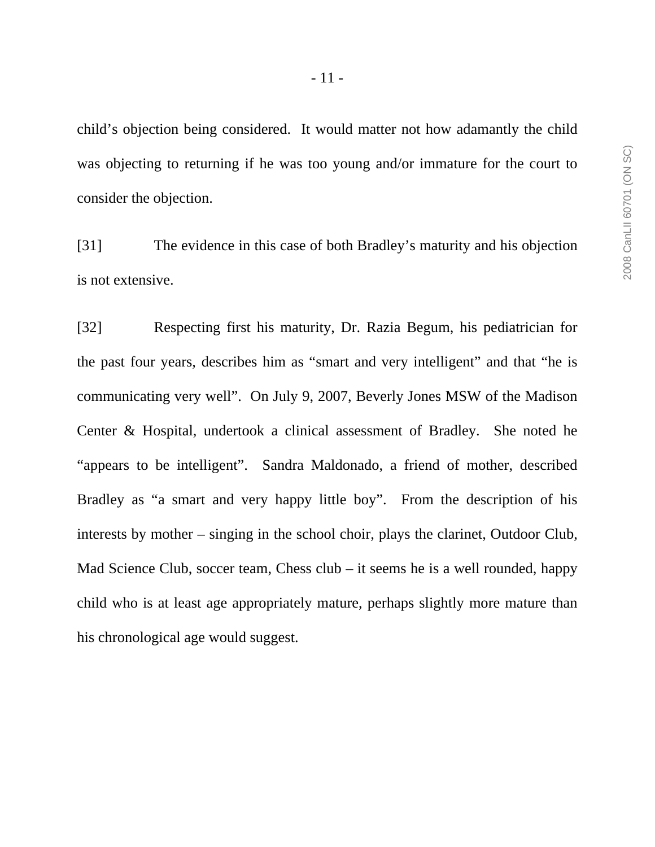- 11 -

child's objection being considered. It would matter not how adamantly the child was objecting to returning if he was too young and/or immature for the court to consider the objection.

[31] The evidence in this case of both Bradley's maturity and his objection is not extensive.

[32] Respecting first his maturity, Dr. Razia Begum, his pediatrician for the past four years, describes him as "smart and very intelligent" and that "he is communicating very well". On July 9, 2007, Beverly Jones MSW of the Madison Center & Hospital, undertook a clinical assessment of Bradley. She noted he "appears to be intelligent". Sandra Maldonado, a friend of mother, described Bradley as "a smart and very happy little boy". From the description of his interests by mother – singing in the school choir, plays the clarinet, Outdoor Club, Mad Science Club, soccer team, Chess club – it seems he is a well rounded, happy child who is at least age appropriately mature, perhaps slightly more mature than his chronological age would suggest.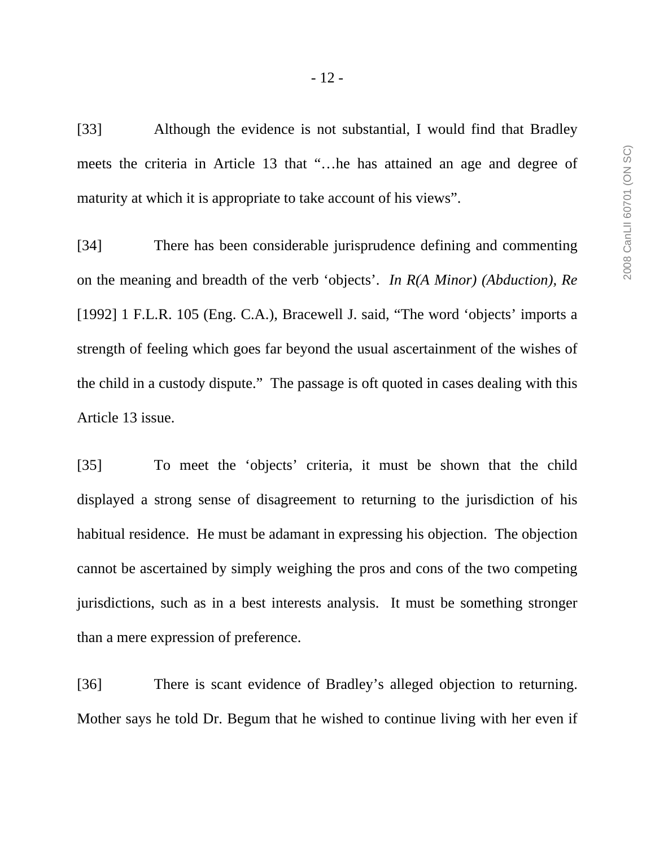[33] Although the evidence is not substantial, I would find that Bradley meets the criteria in Article 13 that "…he has attained an age and degree of maturity at which it is appropriate to take account of his views".

[34] There has been considerable jurisprudence defining and commenting on the meaning and breadth of the verb 'objects'. *In R(A Minor) (Abduction), Re*  [1992] 1 F.L.R. 105 (Eng. C.A.), Bracewell J. said, "The word 'objects' imports a strength of feeling which goes far beyond the usual ascertainment of the wishes of the child in a custody dispute." The passage is oft quoted in cases dealing with this Article 13 issue.

[35] To meet the 'objects' criteria, it must be shown that the child displayed a strong sense of disagreement to returning to the jurisdiction of his habitual residence. He must be adamant in expressing his objection. The objection cannot be ascertained by simply weighing the pros and cons of the two competing jurisdictions, such as in a best interests analysis. It must be something stronger than a mere expression of preference.

[36] There is scant evidence of Bradley's alleged objection to returning. Mother says he told Dr. Begum that he wished to continue living with her even if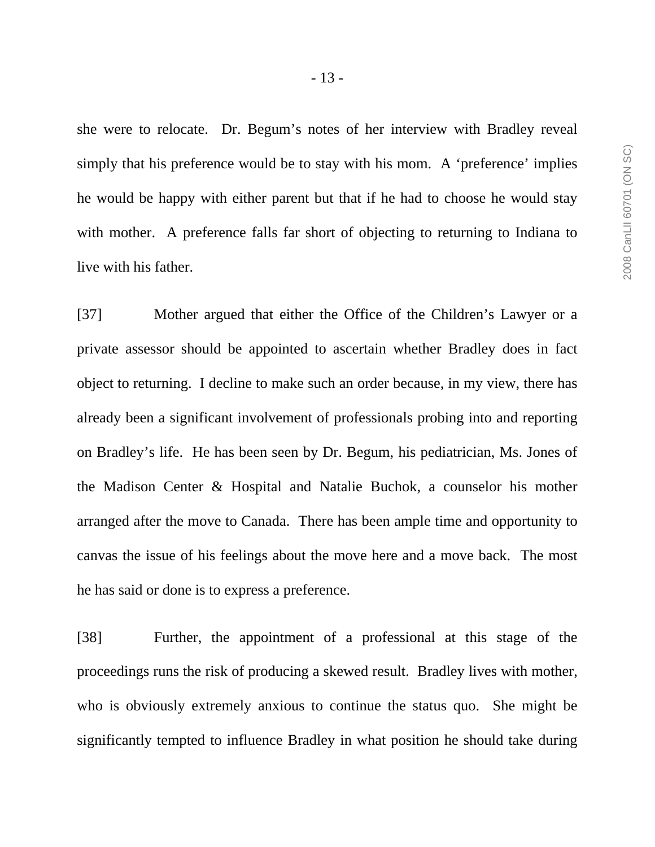she were to relocate. Dr. Begum's notes of her interview with Bradley reveal simply that his preference would be to stay with his mom. A 'preference' implies he would be happy with either parent but that if he had to choose he would stay with mother. A preference falls far short of objecting to returning to Indiana to live with his father.

[37] Mother argued that either the Office of the Children's Lawyer or a private assessor should be appointed to ascertain whether Bradley does in fact object to returning. I decline to make such an order because, in my view, there has already been a significant involvement of professionals probing into and reporting on Bradley's life. He has been seen by Dr. Begum, his pediatrician, Ms. Jones of the Madison Center & Hospital and Natalie Buchok, a counselor his mother arranged after the move to Canada. There has been ample time and opportunity to canvas the issue of his feelings about the move here and a move back. The most he has said or done is to express a preference.

[38] Further, the appointment of a professional at this stage of the proceedings runs the risk of producing a skewed result. Bradley lives with mother, who is obviously extremely anxious to continue the status quo. She might be significantly tempted to influence Bradley in what position he should take during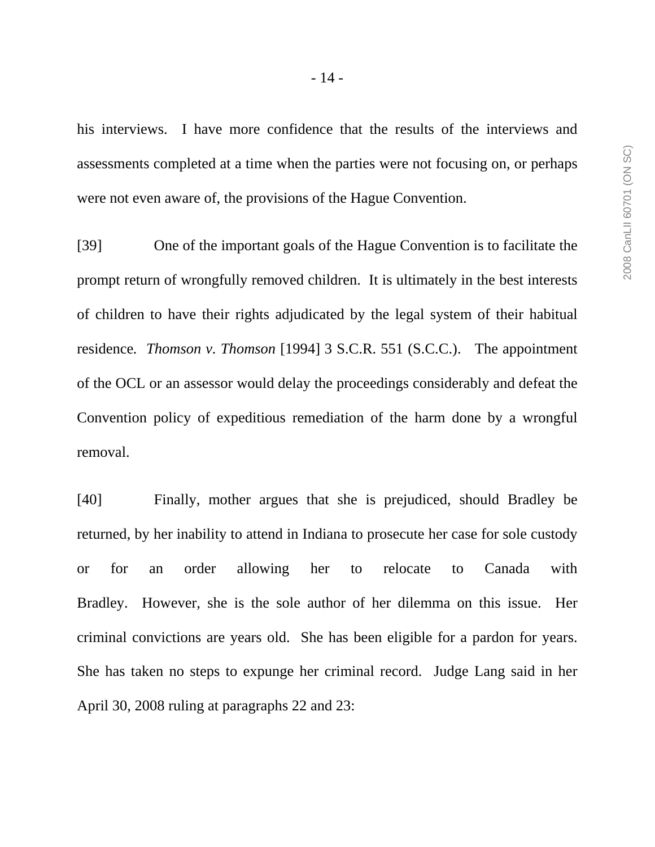his interviews. I have more confidence that the results of the interviews and assessments completed at a time when the parties were not focusing on, or perhaps were not even aware of, the provisions of the Hague Convention.

[39] One of the important goals of the Hague Convention is to facilitate the prompt return of wrongfully removed children. It is ultimately in the best interests of children to have their rights adjudicated by the legal system of their habitual residence*. Thomson v. Thomson* [1994] 3 S.C.R. 551 (S.C.C.). The appointment of the OCL or an assessor would delay the proceedings considerably and defeat the Convention policy of expeditious remediation of the harm done by a wrongful removal.

[40] Finally, mother argues that she is prejudiced, should Bradley be returned, by her inability to attend in Indiana to prosecute her case for sole custody or for an order allowing her to relocate to Canada with Bradley. However, she is the sole author of her dilemma on this issue. Her criminal convictions are years old. She has been eligible for a pardon for years. She has taken no steps to expunge her criminal record. Judge Lang said in her April 30, 2008 ruling at paragraphs 22 and 23: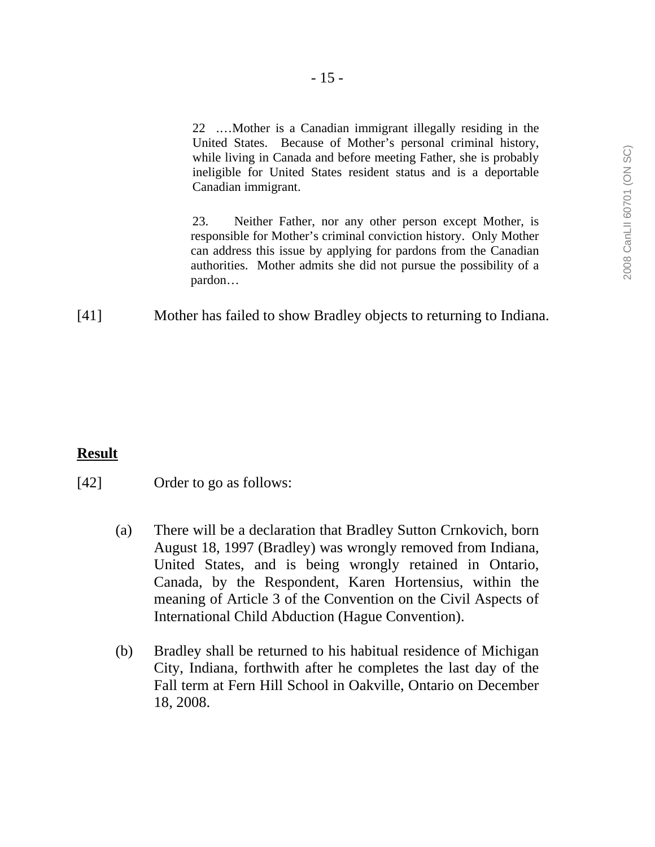22 .…Mother is a Canadian immigrant illegally residing in the United States. Because of Mother's personal criminal history, while living in Canada and before meeting Father, she is probably ineligible for United States resident status and is a deportable Canadian immigrant.

23. Neither Father, nor any other person except Mother, is responsible for Mother's criminal conviction history. Only Mother can address this issue by applying for pardons from the Canadian authorities. Mother admits she did not pursue the possibility of a pardon…

[41] Mother has failed to show Bradley objects to returning to Indiana.

### **Result**

### [42] Order to go as follows:

- (a) There will be a declaration that Bradley Sutton Crnkovich, born August 18, 1997 (Bradley) was wrongly removed from Indiana, United States, and is being wrongly retained in Ontario, Canada, by the Respondent, Karen Hortensius, within the meaning of Article 3 of the Convention on the Civil Aspects of International Child Abduction (Hague Convention).
- (b) Bradley shall be returned to his habitual residence of Michigan City, Indiana, forthwith after he completes the last day of the Fall term at Fern Hill School in Oakville, Ontario on December 18, 2008.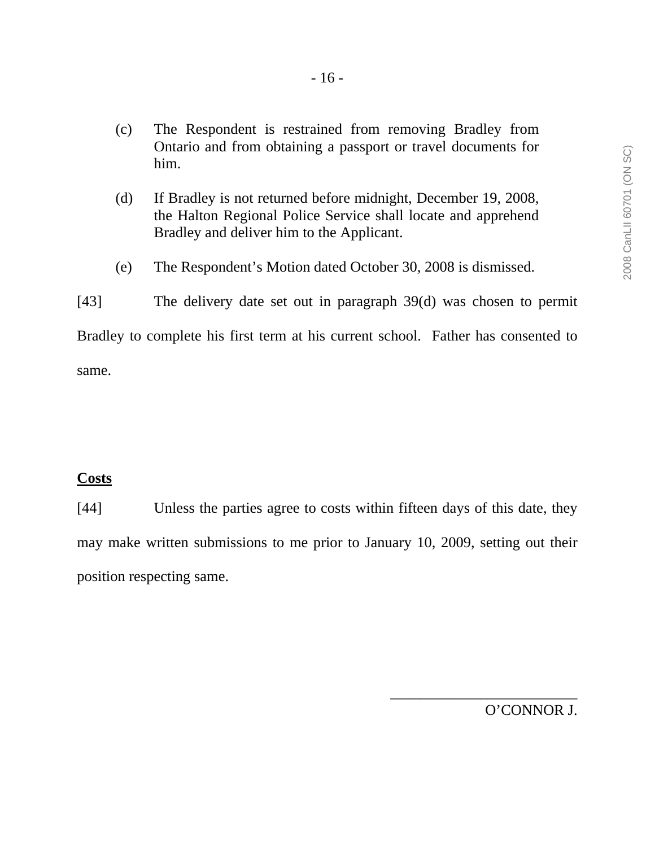- (c) The Respondent is restrained from removing Bradley from Ontario and from obtaining a passport or travel documents for him.
- (d) If Bradley is not returned before midnight, December 19, 2008, the Halton Regional Police Service shall locate and apprehend Bradley and deliver him to the Applicant.
- (e) The Respondent's Motion dated October 30, 2008 is dismissed.
- [43] The delivery date set out in paragraph 39(d) was chosen to permit Bradley to complete his first term at his current school. Father has consented to same.

## **Costs**

[44] Unless the parties agree to costs within fifteen days of this date, they may make written submissions to me prior to January 10, 2009, setting out their position respecting same.

O'CONNOR J.

\_\_\_\_\_\_\_\_\_\_\_\_\_\_\_\_\_\_\_\_\_\_\_\_\_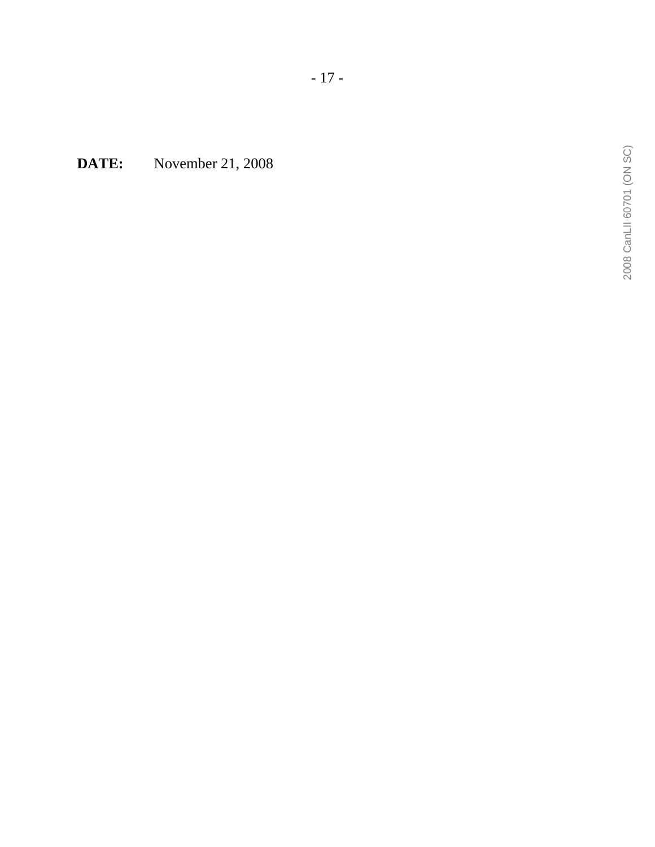**DATE:** November 21, 2008